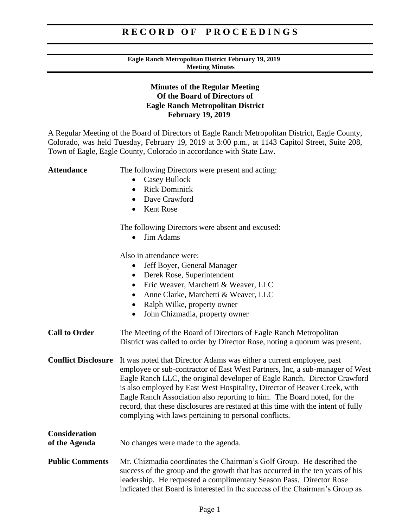### **Eagle Ranch Metropolitan District February 19, 2019 Meeting Minutes**

# **Minutes of the Regular Meeting Of the Board of Directors of Eagle Ranch Metropolitan District February 19, 2019**

A Regular Meeting of the Board of Directors of Eagle Ranch Metropolitan District, Eagle County, Colorado, was held Tuesday, February 19, 2019 at 3:00 p.m., at 1143 Capitol Street, Suite 208, Town of Eagle, Eagle County, Colorado in accordance with State Law.

Attendance The following Directors were present and acting:

- Casey Bullock
- Rick Dominick
- Dave Crawford
- Kent Rose

The following Directors were absent and excused:

• Jim Adams

Also in attendance were:

|  |  |  | Jeff Boyer, General Manager |
|--|--|--|-----------------------------|
|  |  |  |                             |

- Derek Rose, Superintendent
- Eric Weaver, Marchetti & Weaver, LLC
- Anne Clarke, Marchetti & Weaver, LLC
- Ralph Wilke, property owner
- John Chizmadia, property owner
- **Call to Order** The Meeting of the Board of Directors of Eagle Ranch Metropolitan District was called to order by Director Rose, noting a quorum was present.
- **Conflict Disclosure** It was noted that Director Adams was either a current employee, past employee or sub-contractor of East West Partners, Inc, a sub-manager of West Eagle Ranch LLC, the original developer of Eagle Ranch. Director Crawford is also employed by East West Hospitality, Director of Beaver Creek, with Eagle Ranch Association also reporting to him. The Board noted, for the record, that these disclosures are restated at this time with the intent of fully complying with laws pertaining to personal conflicts.

## **Consideration of the Agenda** No changes were made to the agenda.

**Public Comments** Mr. Chizmadia coordinates the Chairman's Golf Group. He described the success of the group and the growth that has occurred in the ten years of his leadership. He requested a complimentary Season Pass. Director Rose indicated that Board is interested in the success of the Chairman's Group as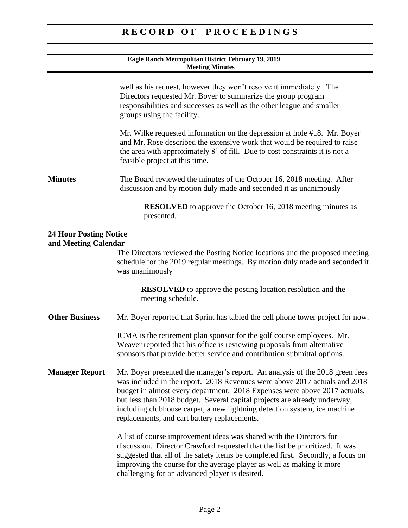### **Eagle Ranch Metropolitan District February 19, 2019 Meeting Minutes**

|                                                       | well as his request, however they won't resolve it immediately. The<br>Directors requested Mr. Boyer to summarize the group program<br>responsibilities and successes as well as the other league and smaller<br>groups using the facility.                                                                                                                                                                                                       |
|-------------------------------------------------------|---------------------------------------------------------------------------------------------------------------------------------------------------------------------------------------------------------------------------------------------------------------------------------------------------------------------------------------------------------------------------------------------------------------------------------------------------|
|                                                       | Mr. Wilke requested information on the depression at hole #18. Mr. Boyer<br>and Mr. Rose described the extensive work that would be required to raise<br>the area with approximately 8' of fill. Due to cost constraints it is not a<br>feasible project at this time.                                                                                                                                                                            |
| <b>Minutes</b>                                        | The Board reviewed the minutes of the October 16, 2018 meeting. After<br>discussion and by motion duly made and seconded it as unanimously                                                                                                                                                                                                                                                                                                        |
|                                                       | <b>RESOLVED</b> to approve the October 16, 2018 meeting minutes as<br>presented.                                                                                                                                                                                                                                                                                                                                                                  |
| <b>24 Hour Posting Notice</b><br>and Meeting Calendar |                                                                                                                                                                                                                                                                                                                                                                                                                                                   |
|                                                       | The Directors reviewed the Posting Notice locations and the proposed meeting<br>schedule for the 2019 regular meetings. By motion duly made and seconded it<br>was unanimously                                                                                                                                                                                                                                                                    |
|                                                       | <b>RESOLVED</b> to approve the posting location resolution and the<br>meeting schedule.                                                                                                                                                                                                                                                                                                                                                           |
| <b>Other Business</b>                                 | Mr. Boyer reported that Sprint has tabled the cell phone tower project for now.                                                                                                                                                                                                                                                                                                                                                                   |
|                                                       | ICMA is the retirement plan sponsor for the golf course employees. Mr.<br>Weaver reported that his office is reviewing proposals from alternative<br>sponsors that provide better service and contribution submittal options.                                                                                                                                                                                                                     |
| <b>Manager Report</b>                                 | Mr. Boyer presented the manager's report. An analysis of the 2018 green fees<br>was included in the report. 2018 Revenues were above 2017 actuals and 2018<br>budget in almost every department. 2018 Expenses were above 2017 actuals,<br>but less than 2018 budget. Several capital projects are already underway,<br>including clubhouse carpet, a new lightning detection system, ice machine<br>replacements, and cart battery replacements. |
|                                                       | A list of course improvement ideas was shared with the Directors for<br>discussion. Director Crawford requested that the list be prioritized. It was<br>suggested that all of the safety items be completed first. Secondly, a focus on<br>improving the course for the average player as well as making it more<br>challenging for an advanced player is desired.                                                                                |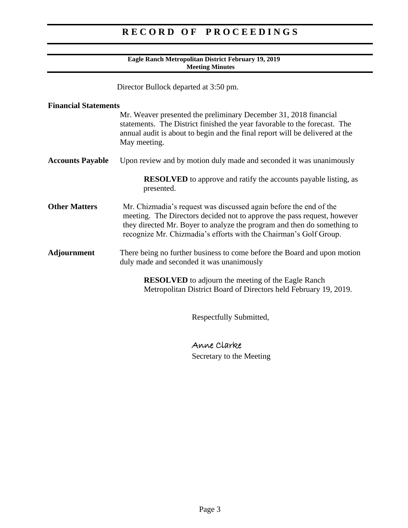### **Eagle Ranch Metropolitan District February 19, 2019 Meeting Minutes**

Director Bullock departed at 3:50 pm.

| <b>Financial Statements</b> |                                                                                                                                                                                                                                                                                              |
|-----------------------------|----------------------------------------------------------------------------------------------------------------------------------------------------------------------------------------------------------------------------------------------------------------------------------------------|
|                             | Mr. Weaver presented the preliminary December 31, 2018 financial<br>statements. The District finished the year favorable to the forecast. The<br>annual audit is about to begin and the final report will be delivered at the<br>May meeting.                                                |
| <b>Accounts Payable</b>     | Upon review and by motion duly made and seconded it was unanimously                                                                                                                                                                                                                          |
|                             | <b>RESOLVED</b> to approve and ratify the accounts payable listing, as<br>presented.                                                                                                                                                                                                         |
| <b>Other Matters</b>        | Mr. Chizmadia's request was discussed again before the end of the<br>meeting. The Directors decided not to approve the pass request, however<br>they directed Mr. Boyer to analyze the program and then do something to<br>recognize Mr. Chizmadia's efforts with the Chairman's Golf Group. |
| Adjournment                 | There being no further business to come before the Board and upon motion<br>duly made and seconded it was unanimously                                                                                                                                                                        |
|                             | <b>RESOLVED</b> to adjourn the meeting of the Eagle Ranch<br>Metropolitan District Board of Directors held February 19, 2019.                                                                                                                                                                |
|                             | Respectfully Submitted,                                                                                                                                                                                                                                                                      |

Anne Clarke Secretary to the Meeting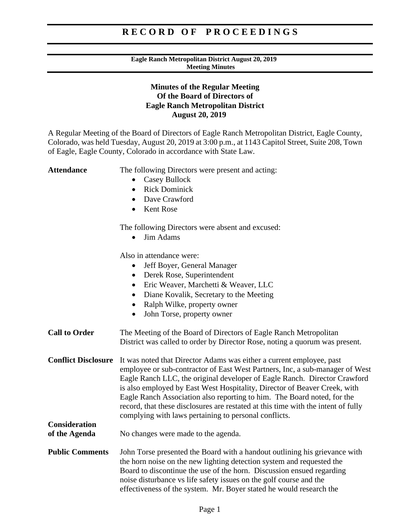### **Eagle Ranch Metropolitan District August 20, 2019 Meeting Minutes**

# **Minutes of the Regular Meeting Of the Board of Directors of Eagle Ranch Metropolitan District August 20, 2019**

A Regular Meeting of the Board of Directors of Eagle Ranch Metropolitan District, Eagle County, Colorado, was held Tuesday, August 20, 2019 at 3:00 p.m., at 1143 Capitol Street, Suite 208, Town of Eagle, Eagle County, Colorado in accordance with State Law.

**Consideration** 

Attendance The following Directors were present and acting:

- Casey Bullock
- Rick Dominick
- Dave Crawford
- Kent Rose

The following Directors were absent and excused:

• Jim Adams

Also in attendance were:

- Jeff Boyer, General Manager
- Derek Rose, Superintendent
- Eric Weaver, Marchetti & Weaver, LLC
- Diane Kovalik, Secretary to the Meeting
- Ralph Wilke, property owner
- John Torse, property owner
- **Call to Order** The Meeting of the Board of Directors of Eagle Ranch Metropolitan District was called to order by Director Rose, noting a quorum was present.
- **Conflict Disclosure** It was noted that Director Adams was either a current employee, past employee or sub-contractor of East West Partners, Inc, a sub-manager of West Eagle Ranch LLC, the original developer of Eagle Ranch. Director Crawford is also employed by East West Hospitality, Director of Beaver Creek, with Eagle Ranch Association also reporting to him. The Board noted, for the record, that these disclosures are restated at this time with the intent of fully complying with laws pertaining to personal conflicts.
- **of the Agenda** No changes were made to the agenda.
- **Public Comments** John Torse presented the Board with a handout outlining his grievance with the horn noise on the new lighting detection system and requested the Board to discontinue the use of the horn. Discussion ensued regarding noise disturbance vs life safety issues on the golf course and the effectiveness of the system. Mr. Boyer stated he would research the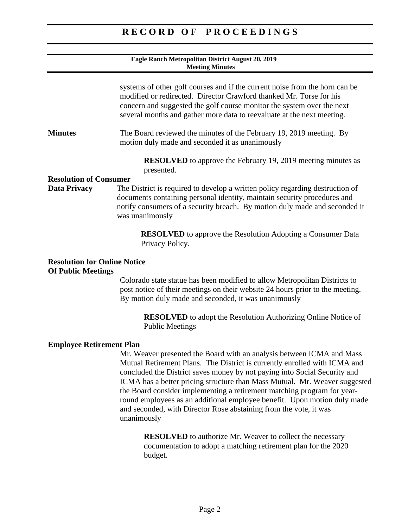### **Eagle Ranch Metropolitan District August 20, 2019 Meeting Minutes**

|                                                                    | systems of other golf courses and if the current noise from the horn can be<br>modified or redirected. Director Crawford thanked Mr. Torse for his<br>concern and suggested the golf course monitor the system over the next<br>several months and gather more data to reevaluate at the next meeting. |
|--------------------------------------------------------------------|--------------------------------------------------------------------------------------------------------------------------------------------------------------------------------------------------------------------------------------------------------------------------------------------------------|
| <b>Minutes</b>                                                     | The Board reviewed the minutes of the February 19, 2019 meeting. By<br>motion duly made and seconded it as unanimously                                                                                                                                                                                 |
|                                                                    | <b>RESOLVED</b> to approve the February 19, 2019 meeting minutes as<br>presented.                                                                                                                                                                                                                      |
| <b>Resolution of Consumer</b>                                      |                                                                                                                                                                                                                                                                                                        |
| Data Privacy                                                       | The District is required to develop a written policy regarding destruction of<br>documents containing personal identity, maintain security procedures and<br>notify consumers of a security breach. By motion duly made and seconded it<br>was unanimously                                             |
|                                                                    | <b>RESOLVED</b> to approve the Resolution Adopting a Consumer Data<br>Privacy Policy.                                                                                                                                                                                                                  |
| <b>Resolution for Online Notice</b><br><b>Of Public Meetings</b>   |                                                                                                                                                                                                                                                                                                        |
|                                                                    | Colorado state statue has been modified to allow Metropolitan Districts to<br>post notice of their meetings on their website 24 hours prior to the meeting.<br>By motion duly made and seconded, it was unanimously                                                                                    |
|                                                                    | <b>RESOLVED</b> to adopt the Resolution Authorizing Online Notice of<br><b>Public Meetings</b>                                                                                                                                                                                                         |
| $E_{\text{max}}1, \ldots, D_{\text{max}}2, \ldots, D_{\text{max}}$ |                                                                                                                                                                                                                                                                                                        |

## **Employee Retirement Plan**

Mr. Weaver presented the Board with an analysis between ICMA and Mass Mutual Retirement Plans. The District is currently enrolled with ICMA and concluded the District saves money by not paying into Social Security and ICMA has a better pricing structure than Mass Mutual. Mr. Weaver suggested the Board consider implementing a retirement matching program for yearround employees as an additional employee benefit. Upon motion duly made and seconded, with Director Rose abstaining from the vote, it was unanimously

**RESOLVED** to authorize Mr. Weaver to collect the necessary documentation to adopt a matching retirement plan for the 2020 budget.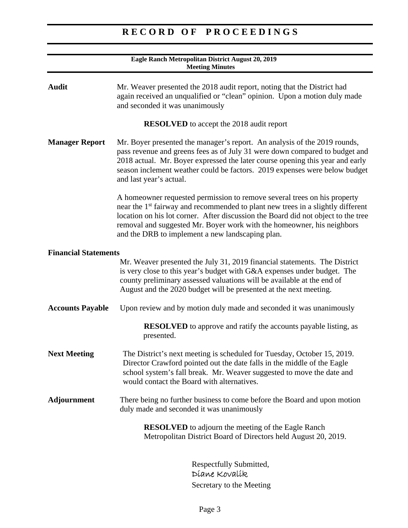| Eagle Ranch Metropolitan District August 20, 2019<br><b>Meeting Minutes</b> |                                                                                                                                                                                                                                                                                                                                                                                            |  |
|-----------------------------------------------------------------------------|--------------------------------------------------------------------------------------------------------------------------------------------------------------------------------------------------------------------------------------------------------------------------------------------------------------------------------------------------------------------------------------------|--|
| <b>Audit</b>                                                                | Mr. Weaver presented the 2018 audit report, noting that the District had<br>again received an unqualified or "clean" opinion. Upon a motion duly made<br>and seconded it was unanimously                                                                                                                                                                                                   |  |
|                                                                             | <b>RESOLVED</b> to accept the 2018 audit report                                                                                                                                                                                                                                                                                                                                            |  |
| <b>Manager Report</b>                                                       | Mr. Boyer presented the manager's report. An analysis of the 2019 rounds,<br>pass revenue and greens fees as of July 31 were down compared to budget and<br>2018 actual. Mr. Boyer expressed the later course opening this year and early<br>season inclement weather could be factors. 2019 expenses were below budget<br>and last year's actual.                                         |  |
|                                                                             | A homeowner requested permission to remove several trees on his property<br>near the 1 <sup>st</sup> fairway and recommended to plant new trees in a slightly different<br>location on his lot corner. After discussion the Board did not object to the tree<br>removal and suggested Mr. Boyer work with the homeowner, his neighbors<br>and the DRB to implement a new landscaping plan. |  |
| <b>Financial Statements</b>                                                 |                                                                                                                                                                                                                                                                                                                                                                                            |  |
|                                                                             | Mr. Weaver presented the July 31, 2019 financial statements. The District<br>is very close to this year's budget with G&A expenses under budget. The<br>county preliminary assessed valuations will be available at the end of<br>August and the 2020 budget will be presented at the next meeting.                                                                                        |  |
| <b>Accounts Payable</b>                                                     | Upon review and by motion duly made and seconded it was unanimously                                                                                                                                                                                                                                                                                                                        |  |
|                                                                             | <b>RESOLVED</b> to approve and ratify the accounts payable listing, as<br>presented.                                                                                                                                                                                                                                                                                                       |  |
| <b>Next Meeting</b>                                                         | The District's next meeting is scheduled for Tuesday, October 15, 2019.<br>Director Crawford pointed out the date falls in the middle of the Eagle<br>school system's fall break. Mr. Weaver suggested to move the date and<br>would contact the Board with alternatives.                                                                                                                  |  |
| Adjournment                                                                 | There being no further business to come before the Board and upon motion<br>duly made and seconded it was unanimously                                                                                                                                                                                                                                                                      |  |
|                                                                             | <b>RESOLVED</b> to adjourn the meeting of the Eagle Ranch<br>Metropolitan District Board of Directors held August 20, 2019.                                                                                                                                                                                                                                                                |  |
|                                                                             | Respectfully Submitted,<br>Díane Kovalík                                                                                                                                                                                                                                                                                                                                                   |  |

Secretary to the Meeting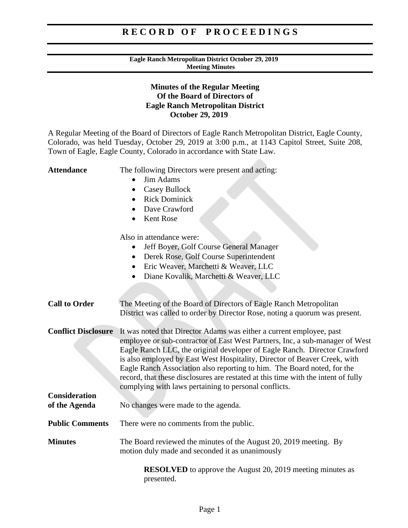### **Eagle Ranch Metropolitan District October 29, 2019 Meeting Minutes**

# **Minutes of the Regular Meeting Of the Board of Directors of Eagle Ranch Metropolitan District October 29, 2019**

A Regular Meeting of the Board of Directors of Eagle Ranch Metropolitan District, Eagle County, Colorado, was held Tuesday, October 29, 2019 at 3:00 p.m., at 1143 Capitol Street, Suite 208, Town of Eagle, Eagle County, Colorado in accordance with State Law.

| <b>Attendance</b>                     | The following Directors were present and acting:<br>Jim Adams<br><b>Casey Bullock</b><br><b>Rick Dominick</b><br>$\bullet$<br>Dave Crawford<br><b>Kent Rose</b><br>$\bullet$                                                                                                                                                                                                                                                                                                                                                            |
|---------------------------------------|-----------------------------------------------------------------------------------------------------------------------------------------------------------------------------------------------------------------------------------------------------------------------------------------------------------------------------------------------------------------------------------------------------------------------------------------------------------------------------------------------------------------------------------------|
|                                       | Also in attendance were:<br>Jeff Boyer, Golf Course General Manager<br>Derek Rose, Golf Course Superintendent<br>$\bullet$<br>Eric Weaver, Marchetti & Weaver, LLC<br>$\bullet$<br>Diane Kovalik, Marchetti & Weaver, LLC<br>$\bullet$                                                                                                                                                                                                                                                                                                  |
| <b>Call to Order</b>                  | The Meeting of the Board of Directors of Eagle Ranch Metropolitan<br>District was called to order by Director Rose, noting a quorum was present.                                                                                                                                                                                                                                                                                                                                                                                        |
| <b>Conflict Disclosure</b>            | It was noted that Director Adams was either a current employee, past<br>employee or sub-contractor of East West Partners, Inc, a sub-manager of West<br>Eagle Ranch LLC, the original developer of Eagle Ranch. Director Crawford<br>is also employed by East West Hospitality, Director of Beaver Creek, with<br>Eagle Ranch Association also reporting to him. The Board noted, for the<br>record, that these disclosures are restated at this time with the intent of fully<br>complying with laws pertaining to personal conflicts. |
| <b>Consideration</b><br>of the Agenda | No changes were made to the agenda.                                                                                                                                                                                                                                                                                                                                                                                                                                                                                                     |
| <b>Public Comments</b>                | There were no comments from the public.                                                                                                                                                                                                                                                                                                                                                                                                                                                                                                 |
| <b>Minutes</b>                        | The Board reviewed the minutes of the August 20, 2019 meeting. By<br>motion duly made and seconded it as unanimously                                                                                                                                                                                                                                                                                                                                                                                                                    |
|                                       | <b>RESOLVED</b> to approve the August 20, 2019 meeting minutes as<br>presented.                                                                                                                                                                                                                                                                                                                                                                                                                                                         |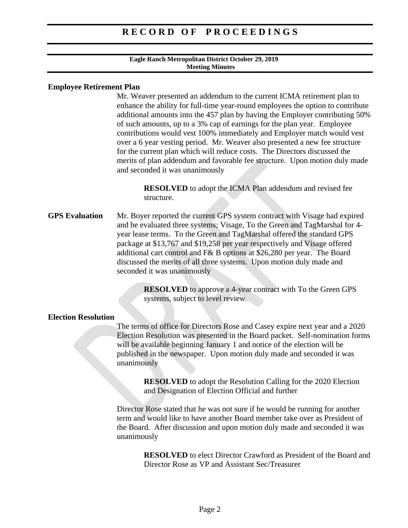### **Eagle Ranch Metropolitan District October 29, 2019 Meeting Minutes**

### **Employee Retirement Plan**

Mr. Weaver presented an addendum to the current ICMA retirement plan to enhance the ability for full-time year-round employees the option to contribute additional amounts into the 457 plan by having the Employer contributing 50% of such amounts, up to a 3% cap of earnings for the plan year. Employee contributions would vest 100% immediately and Employer match would vest over a 6 year vesting period. Mr. Weaver also presented a new fee structure for the current plan which will reduce costs. The Directors discussed the merits of plan addendum and favorable fee structure. Upon motion duly made and seconded it was unanimously

> **RESOLVED** to adopt the ICMA Plan addendum and revised fee structure.

**GPS Evaluation** Mr. Boyer reported the current GPS system contract with Visage had expired and he evaluated three systems; Visage, To the Green and TagMarshal for 4 year lease terms. To the Green and TagMarshal offered the standard GPS package at \$13,767 and \$19,258 per year respectively and Visage offered additional cart control and F& B options at \$26,280 per year. The Board discussed the merits of all three systems. Upon motion duly made and seconded it was unanimously

> **RESOLVED** to approve a 4-year contract with To the Green GPS systems, subject to level review.

## **Election Resolution**

The terms of office for Directors Rose and Casey expire next year and a 2020 Election Resolution was presented in the Board packet. Self-nomination forms will be available beginning January 1 and notice of the election will be published in the newspaper. Upon motion duly made and seconded it was unanimously

> **RESOLVED** to adopt the Resolution Calling for the 2020 Election and Designation of Election Official and further

Director Rose stated that he was not sure if he would be running for another term and would like to have another Board member take over as President of the Board. After discussion and upon motion duly made and seconded it was unanimously

> **RESOLVED** to elect Director Crawford as President of the Board and Director Rose as VP and Assistant Sec/Treasurer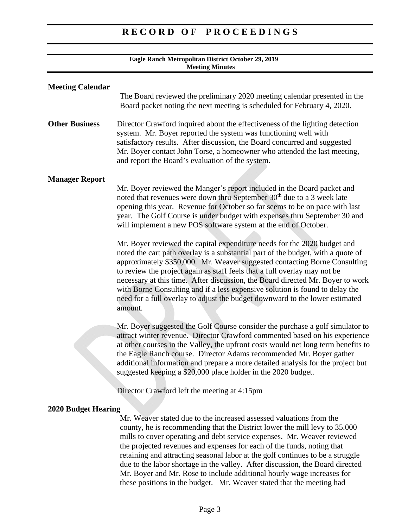|                            | Eagle Ranch Metropolitan District October 29, 2019<br><b>Meeting Minutes</b>                                                                                                                                                                                                                                                                                                                                                                                                                                                                                                                                                 |
|----------------------------|------------------------------------------------------------------------------------------------------------------------------------------------------------------------------------------------------------------------------------------------------------------------------------------------------------------------------------------------------------------------------------------------------------------------------------------------------------------------------------------------------------------------------------------------------------------------------------------------------------------------------|
| <b>Meeting Calendar</b>    |                                                                                                                                                                                                                                                                                                                                                                                                                                                                                                                                                                                                                              |
|                            | The Board reviewed the preliminary 2020 meeting calendar presented in the<br>Board packet noting the next meeting is scheduled for February 4, 2020.                                                                                                                                                                                                                                                                                                                                                                                                                                                                         |
| <b>Other Business</b>      | Director Crawford inquired about the effectiveness of the lighting detection<br>system. Mr. Boyer reported the system was functioning well with<br>satisfactory results. After discussion, the Board concurred and suggested<br>Mr. Boyer contact John Torse, a homeowner who attended the last meeting,<br>and report the Board's evaluation of the system.                                                                                                                                                                                                                                                                 |
| <b>Manager Report</b>      | Mr. Boyer reviewed the Manger's report included in the Board packet and<br>noted that revenues were down thru September 30 <sup>th</sup> due to a 3 week late<br>opening this year. Revenue for October so far seems to be on pace with last<br>year. The Golf Course is under budget with expenses thru September 30 and<br>will implement a new POS software system at the end of October.                                                                                                                                                                                                                                 |
|                            | Mr. Boyer reviewed the capital expenditure needs for the 2020 budget and<br>noted the cart path overlay is a substantial part of the budget, with a quote of<br>approximately \$350,000. Mr. Weaver suggested contacting Borne Consulting<br>to review the project again as staff feels that a full overlay may not be<br>necessary at this time. After discussion, the Board directed Mr. Boyer to work<br>with Borne Consulting and if a less expensive solution is found to delay the<br>need for a full overlay to adjust the budget downward to the lower estimated<br>amount.                                          |
|                            | Mr. Boyer suggested the Golf Course consider the purchase a golf simulator to<br>attract winter revenue. Director Crawford commented based on his experience<br>at other courses in the Valley, the upfront costs would net long term benefits to<br>the Eagle Ranch course. Director Adams recommended Mr. Boyer gather<br>additional information and prepare a more detailed analysis for the project but<br>suggested keeping a \$20,000 place holder in the 2020 budget.                                                                                                                                                 |
|                            | Director Crawford left the meeting at 4:15pm                                                                                                                                                                                                                                                                                                                                                                                                                                                                                                                                                                                 |
| <b>2020 Budget Hearing</b> | Mr. Weaver stated due to the increased assessed valuations from the<br>county, he is recommending that the District lower the mill levy to 35.000<br>mills to cover operating and debt service expenses. Mr. Weaver reviewed<br>the projected revenues and expenses for each of the funds, noting that<br>retaining and attracting seasonal labor at the golf continues to be a struggle<br>due to the labor shortage in the valley. After discussion, the Board directed<br>Mr. Boyer and Mr. Rose to include additional hourly wage increases for<br>these positions in the budget. Mr. Weaver stated that the meeting had |